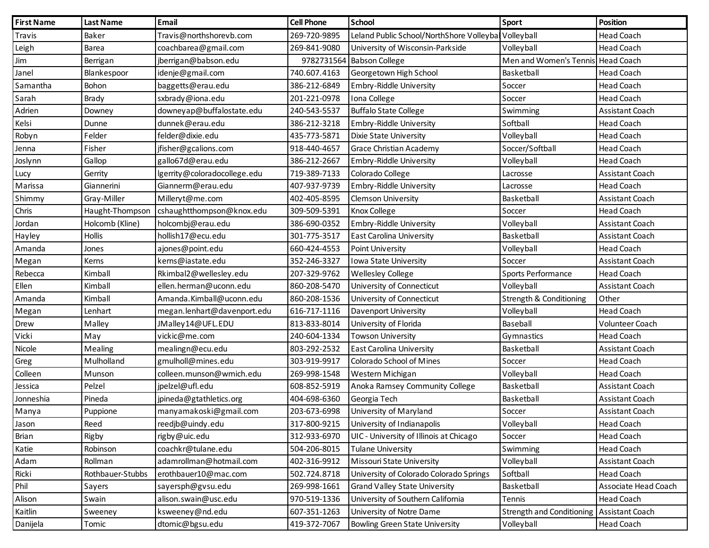| <b>First Name</b> | <b>Last Name</b> | <b>Email</b>                 | <b>Cell Phone</b> | <b>School</b>                                       | Sport                              | <b>Position</b>        |
|-------------------|------------------|------------------------------|-------------------|-----------------------------------------------------|------------------------------------|------------------------|
| Travis            | Baker            | Travis@northshorevb.com      | 269-720-9895      | Leland Public School/NorthShore Volleyba Volleyball |                                    | <b>Head Coach</b>      |
| Leigh             | Barea            | coachbarea@gmail.com         | 269-841-9080      | University of Wisconsin-Parkside                    | Volleyball                         | <b>Head Coach</b>      |
| Jim               | Berrigan         | jberrigan@babson.edu         | 9782731564        | <b>Babson College</b>                               | Men and Women's Tennis Head Coach  |                        |
| Janel             | Blankespoor      | idenje@gmail.com             | 740.607.4163      | Georgetown High School                              | Basketball                         | <b>Head Coach</b>      |
| Samantha          | Bohon            | baggetts@erau.edu            | 386-212-6849      | Embry-Riddle University                             | Soccer                             | <b>Head Coach</b>      |
| Sarah             | Brady            | sxbrady@iona.edu             | 201-221-0978      | Iona College                                        | Soccer                             | <b>Head Coach</b>      |
| Adrien            | Downey           | downeyap@buffalostate.edu    | 240-543-5537      | <b>Buffalo State College</b>                        | Swimming                           | Assistant Coach        |
| Kelsi             | Dunne            | dunnek@erau.edu              | 386-212-3218      | Embry-Riddle University                             | Softball                           | <b>Head Coach</b>      |
| Robyn             | Felder           | felder@dixie.edu             | 435-773-5871      | Dixie State University                              | Volleyball                         | <b>Head Coach</b>      |
| Jenna             | Fisher           | jfisher@gcalions.com         | 918-440-4657      | Grace Christian Academy                             | Soccer/Softball                    | <b>Head Coach</b>      |
| Joslynn           | Gallop           | gallo67d@erau.edu            | 386-212-2667      | Embry-Riddle University                             | Volleyball                         | <b>Head Coach</b>      |
| Lucy              | Gerrity          | lgerrity@coloradocollege.edu | 719-389-7133      | Colorado College                                    | Lacrosse                           | Assistant Coach        |
| Marissa           | Giannerini       | Giannerm@erau.edu            | 407-937-9739      | Embry-Riddle University                             | Lacrosse                           | Head Coach             |
| Shimmy            | Gray-Miller      | Milleryt@me.com              | 402-405-8595      | <b>Clemson University</b>                           | Basketball                         | <b>Assistant Coach</b> |
| Chris             | Haught-Thompson  | cshaughtthompson@knox.edu    | 309-509-5391      | Knox College                                        | Soccer                             | Head Coach             |
| Jordan            | Holcomb (Kline)  | holcombj@erau.edu            | 386-690-0352      | Embry-Riddle University                             | Volleyball                         | Assistant Coach        |
| Hayley            | <b>Hollis</b>    | hollish17@ecu.edu            | 301-775-3517      | <b>East Carolina University</b>                     | Basketball                         | Assistant Coach        |
| Amanda            | Jones            | ajones@point.edu             | 660-424-4553      | Point University                                    | Volleyball                         | <b>Head Coach</b>      |
| Megan             | Kerns            | kerns@iastate.edu            | 352-246-3327      | Iowa State University                               | Soccer                             | Assistant Coach        |
| Rebecca           | Kimball          | Rkimbal2@wellesley.edu       | 207-329-9762      | <b>Wellesley College</b>                            | Sports Performance                 | <b>Head Coach</b>      |
| Ellen             | Kimball          | ellen.herman@uconn.edu       | 860-208-5470      | University of Connecticut                           | Volleyball                         | Assistant Coach        |
| Amanda            | Kimball          | Amanda.Kimball@uconn.edu     | 860-208-1536      | University of Connecticut                           | <b>Strength &amp; Conditioning</b> | Other                  |
| Megan             | Lenhart          | megan.lenhart@davenport.edu  | 616-717-1116      | Davenport University                                | Volleyball                         | <b>Head Coach</b>      |
| Drew              | Malley           | JMalley14@UFL.EDU            | 813-833-8014      | University of Florida                               | Baseball                           | Volunteer Coach        |
| Vicki             | May              | vickic@me.com                | 240-604-1334      | <b>Towson University</b>                            | Gymnastics                         | Head Coach             |
| Nicole            | Mealing          | mealingn@ecu.edu             | 803-292-2532      | <b>East Carolina University</b>                     | Basketball                         | Assistant Coach        |
| Greg              | Mulholland       | gmulholl@mines.edu           | 303-919-9917      | Colorado School of Mines                            | Soccer                             | Head Coach             |
| Colleen           | Munson           | colleen.munson@wmich.edu     | 269-998-1548      | Western Michigan                                    | Volleyball                         | <b>Head Coach</b>      |
| Jessica           | Pelzel           | jpelzel@ufl.edu              | 608-852-5919      | Anoka Ramsey Community College                      | Basketball                         | Assistant Coach        |
| Jonneshia         | Pineda           | jpineda@gtathletics.org      | 404-698-6360      | Georgia Tech                                        | Basketball                         | Assistant Coach        |
| Manya             | Puppione         | manyamakoski@gmail.com       | 203-673-6998      | University of Maryland                              | Soccer                             | <b>Assistant Coach</b> |
| Jason             | Reed             | reedjb@uindy.edu             | 317-800-9215      | University of Indianapolis                          | Volleyball                         | <b>Head Coach</b>      |
| Brian             | Rigby            | rigby@uic.edu                | 312-933-6970      | UIC - University of Illinois at Chicago             | Soccer                             | <b>Head Coach</b>      |
| Katie             | Robinson         | coachkr@tulane.edu           | 504-206-8015      | <b>Tulane University</b>                            | Swimming                           | <b>Head Coach</b>      |
| Adam              | Rollman          | adamrollman@hotmail.com      | 402-316-9912      | <b>Missouri State University</b>                    | Volleyball                         | Assistant Coach        |
| Ricki             | Rothbauer-Stubbs | erothbauer10@mac.com         | 502.724.8718      | University of Colorado Colorado Springs             | Softball                           | <b>Head Coach</b>      |
| Phil              | Sayers           | sayersph@gvsu.edu            | 269-998-1661      | <b>Grand Valley State University</b>                | Basketball                         | Associate Head Coach   |
| Alison            | Swain            | alison.swain@usc.edu         | 970-519-1336      | University of Southern California                   | Tennis                             | <b>Head Coach</b>      |
| Kaitlin           | Sweeney          | ksweeney@nd.edu              | 607-351-1263      | University of Notre Dame                            | <b>Strength and Conditioning</b>   | <b>Assistant Coach</b> |
| Danijela          | Tomic            | dtomic@bgsu.edu              | 419-372-7067      | <b>Bowling Green State University</b>               | Volleyball                         | Head Coach             |